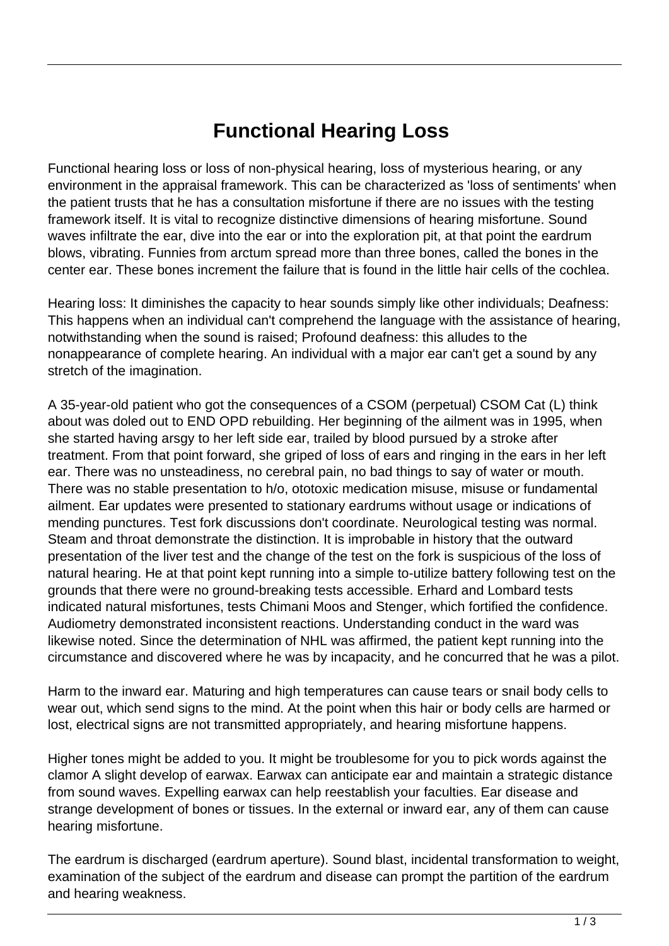## **Functional Hearing Loss**

Functional hearing loss or loss of non-physical hearing, loss of mysterious hearing, or any environment in the appraisal framework. This can be characterized as 'loss of sentiments' when the patient trusts that he has a consultation misfortune if there are no issues with the testing framework itself. It is vital to recognize distinctive dimensions of hearing misfortune. Sound waves infiltrate the ear, dive into the ear or into the exploration pit, at that point the eardrum blows, vibrating. Funnies from arctum spread more than three bones, called the bones in the center ear. These bones increment the failure that is found in the little hair cells of the cochlea.

Hearing loss: It diminishes the capacity to hear sounds simply like other individuals; Deafness: This happens when an individual can't comprehend the language with the assistance of hearing, notwithstanding when the sound is raised; Profound deafness: this alludes to the nonappearance of complete hearing. An individual with a major ear can't get a sound by any stretch of the imagination.

A 35-year-old patient who got the consequences of a CSOM (perpetual) CSOM Cat (L) think about was doled out to END OPD rebuilding. Her beginning of the ailment was in 1995, when she started having arsgy to her left side ear, trailed by blood pursued by a stroke after treatment. From that point forward, she griped of loss of ears and ringing in the ears in her left ear. There was no unsteadiness, no cerebral pain, no bad things to say of water or mouth. There was no stable presentation to h/o, ototoxic medication misuse, misuse or fundamental ailment. Ear updates were presented to stationary eardrums without usage or indications of mending punctures. Test fork discussions don't coordinate. Neurological testing was normal. Steam and throat demonstrate the distinction. It is improbable in history that the outward presentation of the liver test and the change of the test on the fork is suspicious of the loss of natural hearing. He at that point kept running into a simple to-utilize battery following test on the grounds that there were no ground-breaking tests accessible. Erhard and Lombard tests indicated natural misfortunes, tests Chimani Moos and Stenger, which fortified the confidence. Audiometry demonstrated inconsistent reactions. Understanding conduct in the ward was likewise noted. Since the determination of NHL was affirmed, the patient kept running into the circumstance and discovered where he was by incapacity, and he concurred that he was a pilot.

Harm to the inward ear. Maturing and high temperatures can cause tears or snail body cells to wear out, which send signs to the mind. At the point when this hair or body cells are harmed or lost, electrical signs are not transmitted appropriately, and hearing misfortune happens.

Higher tones might be added to you. It might be troublesome for you to pick words against the clamor A slight develop of earwax. Earwax can anticipate ear and maintain a strategic distance from sound waves. Expelling earwax can help reestablish your faculties. Ear disease and strange development of bones or tissues. In the external or inward ear, any of them can cause hearing misfortune.

The eardrum is discharged (eardrum aperture). Sound blast, incidental transformation to weight, examination of the subject of the eardrum and disease can prompt the partition of the eardrum and hearing weakness.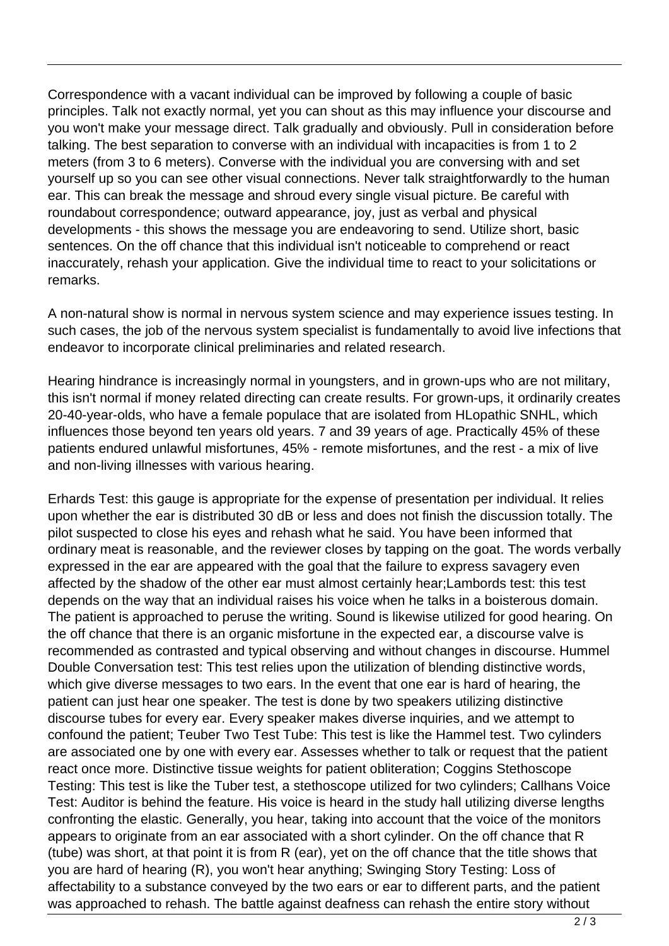Correspondence with a vacant individual can be improved by following a couple of basic principles. Talk not exactly normal, yet you can shout as this may influence your discourse and you won't make your message direct. Talk gradually and obviously. Pull in consideration before talking. The best separation to converse with an individual with incapacities is from 1 to 2 meters (from 3 to 6 meters). Converse with the individual you are conversing with and set yourself up so you can see other visual connections. Never talk straightforwardly to the human ear. This can break the message and shroud every single visual picture. Be careful with roundabout correspondence; outward appearance, joy, just as verbal and physical developments - this shows the message you are endeavoring to send. Utilize short, basic sentences. On the off chance that this individual isn't noticeable to comprehend or react inaccurately, rehash your application. Give the individual time to react to your solicitations or remarks.

A non-natural show is normal in nervous system science and may experience issues testing. In such cases, the job of the nervous system specialist is fundamentally to avoid live infections that endeavor to incorporate clinical preliminaries and related research.

Hearing hindrance is increasingly normal in youngsters, and in grown-ups who are not military, this isn't normal if money related directing can create results. For grown-ups, it ordinarily creates 20-40-year-olds, who have a female populace that are isolated from HLopathic SNHL, which influences those beyond ten years old years. 7 and 39 years of age. Practically 45% of these patients endured unlawful misfortunes, 45% - remote misfortunes, and the rest - a mix of live and non-living illnesses with various hearing.

Erhards Test: this gauge is appropriate for the expense of presentation per individual. It relies upon whether the ear is distributed 30 dB or less and does not finish the discussion totally. The pilot suspected to close his eyes and rehash what he said. You have been informed that ordinary meat is reasonable, and the reviewer closes by tapping on the goat. The words verbally expressed in the ear are appeared with the goal that the failure to express savagery even affected by the shadow of the other ear must almost certainly hear;Lambords test: this test depends on the way that an individual raises his voice when he talks in a boisterous domain. The patient is approached to peruse the writing. Sound is likewise utilized for good hearing. On the off chance that there is an organic misfortune in the expected ear, a discourse valve is recommended as contrasted and typical observing and without changes in discourse. Hummel Double Conversation test: This test relies upon the utilization of blending distinctive words, which give diverse messages to two ears. In the event that one ear is hard of hearing, the patient can just hear one speaker. The test is done by two speakers utilizing distinctive discourse tubes for every ear. Every speaker makes diverse inquiries, and we attempt to confound the patient; Teuber Two Test Tube: This test is like the Hammel test. Two cylinders are associated one by one with every ear. Assesses whether to talk or request that the patient react once more. Distinctive tissue weights for patient obliteration; Coggins Stethoscope Testing: This test is like the Tuber test, a stethoscope utilized for two cylinders; Callhans Voice Test: Auditor is behind the feature. His voice is heard in the study hall utilizing diverse lengths confronting the elastic. Generally, you hear, taking into account that the voice of the monitors appears to originate from an ear associated with a short cylinder. On the off chance that R (tube) was short, at that point it is from R (ear), yet on the off chance that the title shows that you are hard of hearing (R), you won't hear anything; Swinging Story Testing: Loss of affectability to a substance conveyed by the two ears or ear to different parts, and the patient was approached to rehash. The battle against deafness can rehash the entire story without